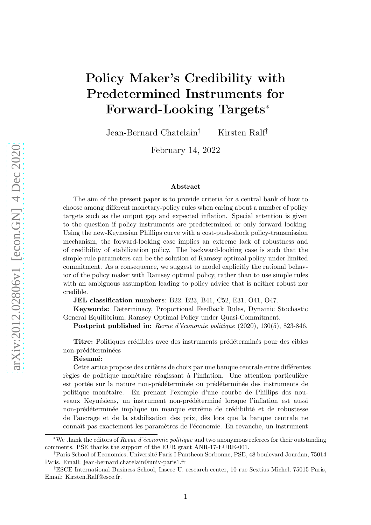# Policy Maker's Credibility with Predetermined Instruments for Forward-Looking Targets<sup>∗</sup>

Jean-Bernard Chatelain† Kirsten Ralf‡

February 14, 2022

#### Abstract

The aim of the present paper is to provide criteria for a central bank of how to choose among different monetary-policy rules when caring about a number of policy targets such as the output gap and expected inflation. Special attention is given to the question if policy instruments are predetermined or only forward looking. Using the new-Keynesian Phillips curve with a cost-push-shock policy-transmission mechanism, the forward-looking case implies an extreme lack of robustness and of credibility of stabilization policy. The backward-looking case is such that the simple-rule parameters can be the solution of Ramsey optimal policy under limited commitment. As a consequence, we suggest to model explicitly the rational behavior of the policy maker with Ramsey optimal policy, rather than to use simple rules with an ambiguous assumption leading to policy advice that is neither robust nor credible.

JEL classification numbers: B22, B23, B41, C52, E31, O41, O47.

Keywords: Determinacy, Proportional Feedback Rules, Dynamic Stochastic General Equilibrium, Ramsey Optimal Policy under Quasi-Commitment.

Postprint published in: Revue d'économie politique (2020), 130(5), 823-846.

Titre: Politiques crédibles avec des instruments prédéterminés pour des cibles non-prédéterminées

#### Résumé:

Cette artice propose des critères de choix par une banque centrale entre différentes règles de politique monétaire réagissant à l'inflation. Une attention particulière est portée sur la nature non-prédéterminée ou prédéterminée des instruments de politique monétaire. En prenant l'exemple d'une courbe de Phillips des nouveaux Keynésiens, un instrument non-prédéterminé lorsque l'inflation est aussi non-prédéterminée implique un manque extrême de crédibilité et de robustesse de l'ancrage et de la stabilisation des prix, dès lors que la banque centrale ne connaît pas exactement les paramètres de l'économie. En revanche, un instrument

<sup>∗</sup>We thank the editors of Revue d'´economie politique and two anonymous referees for their outstanding comments. PSE thanks the support of the EUR grant ANR-17-EURE-001.

<sup>&</sup>lt;sup>†</sup>Paris School of Economics, Université Paris I Pantheon Sorbonne, PSE, 48 boulevard Jourdan, 75014 Paris. Email: jean-bernard.chatelain@univ-paris1.fr

<sup>‡</sup>ESCE International Business School, Inseec U. research center, 10 rue Sextius Michel, 75015 Paris, Email: Kirsten.Ralf@esce.fr.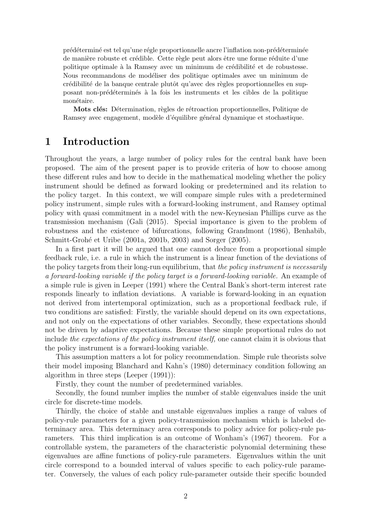prédéterminé est tel qu'une régle proportionnelle ancre l'inflation non-prédéterminée de manière robuste et crédible. Cette règle peut alors être une forme réduite d'une politique optimale à la Ramsey avec un minimum de crédibilité et de robustesse. Nous recommandons de modéliser des politique optimales avec un minimum de crédibilité de la banque centrale plutôt qu'avec des règles proportionnelles en supposant non-prédéterminés à la fois les instruments et les cibles de la politique monétaire.

Mots clés: Détermination, règles de rétroaction proportionnelles, Politique de Ramsey avec engagement, modèle d'équilibre général dynamique et stochastique.

# 1 Introduction

Throughout the years, a large number of policy rules for the central bank have been proposed. The aim of the present paper is to provide criteria of how to choose among these different rules and how to decide in the mathematical modeling whether the policy instrument should be defined as forward looking or predetermined and its relation to the policy target. In this context, we will compare simple rules with a predetermined policy instrument, simple rules with a forward-looking instrument, and Ramsey optimal policy with quasi commitment in a model with the new-Keynesian Phillips curve as the transmission mechanism (Gali (2015). Special importance is given to the problem of robustness and the existence of bifurcations, following Grandmont (1986), Benhabib, Schmitt-Grohé et Uribe (2001a, 2001b, 2003) and Sorger (2005).

In a first part it will be argued that one cannot deduce from a proportional simple feedback rule, i.e. a rule in which the instrument is a linear function of the deviations of the policy targets from their long-run equilibrium, that the policy instrument is necessarily a forward-looking variable if the policy target is a forward-looking variable. An example of a simple rule is given in Leeper (1991) where the Central Bank's short-term interest rate responds linearly to inflation deviations. A variable is forward-looking in an equation not derived from intertemporal optimization, such as a proportional feedback rule, if two conditions are satisfied: Firstly, the variable should depend on its own expectations, and not only on the expectations of other variables. Secondly, these expectations should not be driven by adaptive expectations. Because these simple proportional rules do not include the expectations of the policy instrument itself, one cannot claim it is obvious that the policy instrument is a forward-looking variable.

This assumption matters a lot for policy recommendation. Simple rule theorists solve their model imposing Blanchard and Kahn's (1980) determinacy condition following an algorithm in three steps (Leeper (1991)):

Firstly, they count the number of predetermined variables.

Secondly, the found number implies the number of stable eigenvalues inside the unit circle for discrete-time models.

Thirdly, the choice of stable and unstable eigenvalues implies a range of values of policy-rule parameters for a given policy-transmission mechanism which is labeled determinacy area. This determinacy area corresponds to policy advice for policy-rule parameters. This third implication is an outcome of Wonham's (1967) theorem. For a controllable system, the parameters of the characteristic polynomial determining these eigenvalues are affine functions of policy-rule parameters. Eigenvalues within the unit circle correspond to a bounded interval of values specific to each policy-rule parameter. Conversely, the values of each policy rule-parameter outside their specific bounded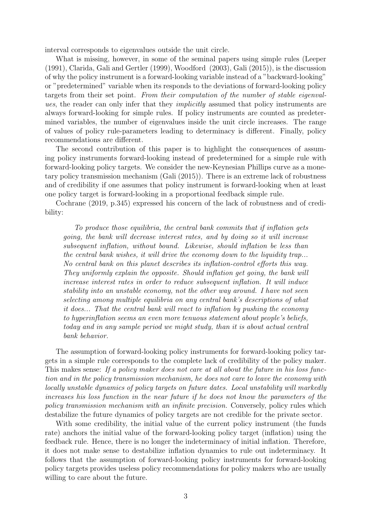interval corresponds to eigenvalues outside the unit circle.

What is missing, however, in some of the seminal papers using simple rules (Leeper (1991), Clarida, Gali and Gertler (1999), Woodford (2003), Gali (2015)), is the discussion of why the policy instrument is a forward-looking variable instead of a "backward-looking" or "predetermined" variable when its responds to the deviations of forward-looking policy targets from their set point. From their computation of the number of stable eigenvalues, the reader can only infer that they *implicitly* assumed that policy instruments are always forward-looking for simple rules. If policy instruments are counted as predetermined variables, the number of eigenvalues inside the unit circle increases. The range of values of policy rule-parameters leading to determinacy is different. Finally, policy recommendations are different.

The second contribution of this paper is to highlight the consequences of assuming policy instruments forward-looking instead of predetermined for a simple rule with forward-looking policy targets. We consider the new-Keynesian Phillips curve as a monetary policy transmission mechanism (Gali (2015)). There is an extreme lack of robustness and of credibility if one assumes that policy instrument is forward-looking when at least one policy target is forward-looking in a proportional feedback simple rule.

Cochrane (2019, p.345) expressed his concern of the lack of robustness and of credibility:

To produce those equilibria, the central bank commits that if inflation gets going, the bank will decrease interest rates, and by doing so it will increase subsequent inflation, without bound. Likewise, should inflation be less than the central bank wishes, it will drive the economy down to the liquidity trap... No central bank on this planet describes its inflation-control efforts this way. They uniformly explain the opposite. Should inflation get going, the bank will increase interest rates in order to reduce subsequent inflation. It will induce stability into an unstable economy, not the other way around. I have not seen selecting among multiple equilibria on any central bank's descriptions of what it does... That the central bank will react to inflation by pushing the economy to hyperinflation seems an even more tenuous statement about people's beliefs, today and in any sample period we might study, than it is about actual central bank behavior.

The assumption of forward-looking policy instruments for forward-looking policy targets in a simple rule corresponds to the complete lack of credibility of the policy maker. This makes sense: If a policy maker does not care at all about the future in his loss function and in the policy transmission mechanism, he does not care to leave the economy with locally unstable dynamics of policy targets on future dates. Local unstability will markedly increases his loss function in the near future if he does not know the parameters of the policy transmission mechanism with an infinite precision. Conversely, policy rules which destabilize the future dynamics of policy targets are not credible for the private sector.

With some credibility, the initial value of the current policy instrument (the funds rate) anchors the initial value of the forward-looking policy target (inflation) using the feedback rule. Hence, there is no longer the indeterminacy of initial inflation. Therefore, it does not make sense to destabilize inflation dynamics to rule out indeterminacy. It follows that the assumption of forward-looking policy instruments for forward-looking policy targets provides useless policy recommendations for policy makers who are usually willing to care about the future.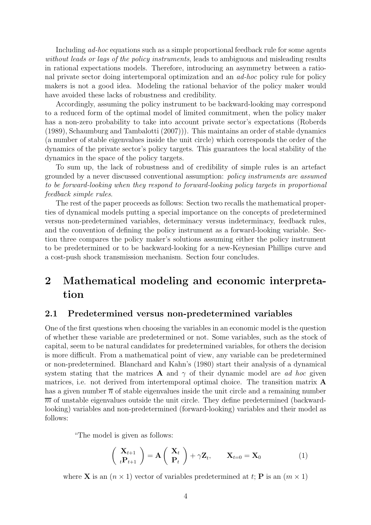Including *ad-hoc* equations such as a simple proportional feedback rule for some agents without leads or lags of the policy instruments, leads to ambiguous and misleading results in rational expectations models. Therefore, introducing an asymmetry between a rational private sector doing intertemporal optimization and an ad-hoc policy rule for policy makers is not a good idea. Modeling the rational behavior of the policy maker would have avoided these lacks of robustness and credibility.

Accordingly, assuming the policy instrument to be backward-looking may correspond to a reduced form of the optimal model of limited commitment, when the policy maker has a non-zero probability to take into account private sector's expectations (Roberds (1989), Schaumburg and Tambalotti (2007))). This maintains an order of stable dynamics (a number of stable eigenvalues inside the unit circle) which corresponds the order of the dynamics of the private sector's policy targets. This guarantees the local stability of the dynamics in the space of the policy targets.

To sum up, the lack of robustness and of credibility of simple rules is an artefact grounded by a never discussed conventional assumption: policy instruments are assumed to be forward-looking when they respond to forward-looking policy targets in proportional feedback simple rules.

The rest of the paper proceeds as follows: Section two recalls the mathematical properties of dynamical models putting a special importance on the concepts of predetermined versus non-predetermined variables, determinacy versus indeterminacy, feedback rules, and the convention of defining the policy instrument as a forward-looking variable. Section three compares the policy maker's solutions assuming either the policy instrument to be predetermined or to be backward-looking for a new-Keynesian Phillips curve and a cost-push shock transmission mechanism. Section four concludes.

# 2 Mathematical modeling and economic interpretation

## 2.1 Predetermined versus non-predetermined variables

One of the first questions when choosing the variables in an economic model is the question of whether these variable are predetermined or not. Some variables, such as the stock of capital, seem to be natural candidates for predetermined variables, for others the decision is more difficult. From a mathematical point of view, any variable can be predetermined or non-predetermined. Blanchard and Kahn's (1980) start their analysis of a dynamical system stating that the matrices **A** and  $\gamma$  of their dynamic model are *ad hoc* given matrices, i.e. not derived from intertemporal optimal choice. The transition matrix A has a given number  $\overline{n}$  of stable eigenvalues inside the unit circle and a remaining number  $\overline{m}$  of unstable eigenvalues outside the unit circle. They define predetermined (backwardlooking) variables and non-predetermined (forward-looking) variables and their model as follows:

"The model is given as follows:

$$
\begin{pmatrix} \mathbf{X}_{t+1} \\ {}_{t}\mathbf{P}_{t+1} \end{pmatrix} = \mathbf{A} \begin{pmatrix} \mathbf{X}_t \\ \mathbf{P}_t \end{pmatrix} + \gamma \mathbf{Z}_t, \qquad \mathbf{X}_{t=0} = \mathbf{X}_0 \tag{1}
$$

where **X** is an  $(n \times 1)$  vector of variables predetermined at t; **P** is an  $(m \times 1)$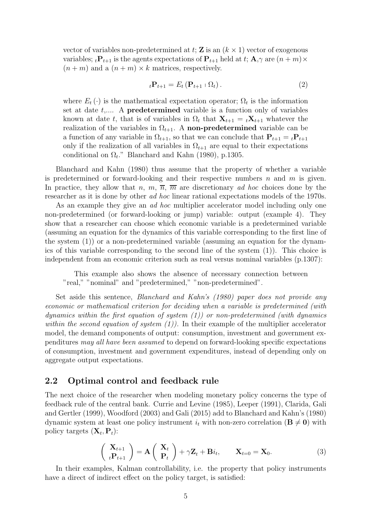vector of variables non-predetermined at t;  $\mathbf{Z}$  is an  $(k \times 1)$  vector of exogenous variables;  ${}_{t}\mathbf{P}_{t+1}$  is the agents expectations of  $\mathbf{P}_{t+1}$  held at  $t$ ;  $\mathbf{A}$ ,  $\gamma$  are  $(n+m) \times$  $(n+m)$  and a  $(n+m) \times k$  matrices, respectively.

$$
{}_{t}\mathbf{P}_{t+1} = E_t \left( \mathbf{P}_{t+1} \cdot \Omega_t \right). \tag{2}
$$

where  $E_t(\cdot)$  is the mathematical expectation operator;  $\Omega_t$  is the information set at date  $t$ ,.... A **predetermined** variable is a function only of variables known at date t, that is of variables in  $\Omega_t$  that  $\mathbf{X}_{t+1} = {}_t \mathbf{X}_{t+1}$  whatever the realization of the variables in  $\Omega_{t+1}$ . A non-predetermined variable can be a function of any variable in  $\Omega_{t+1}$ , so that we can conclude that  $\mathbf{P}_{t+1} = {}_t\mathbf{P}_{t+1}$ only if the realization of all variables in  $\Omega_{t+1}$  are equal to their expectations conditional on  $\Omega_t$ ." Blanchard and Kahn (1980), p.1305.

Blanchard and Kahn (1980) thus assume that the property of whether a variable is predetermined or forward-looking and their respective numbers  $n$  and  $m$  is given. In practice, they allow that n, m,  $\overline{n}$ ,  $\overline{m}$  are discretionary ad hoc choices done by the researcher as it is done by other *ad hoc* linear rational expectations models of the 1970s.

As an example they give an *ad hoc* multiplier accelerator model including only one non-predetermined (or forward-looking or jump) variable: output (example 4). They show that a researcher can choose which economic variable is a predetermined variable (assuming an equation for the dynamics of this variable corresponding to the first line of the system (1)) or a non-predetermined variable (assuming an equation for the dynamics of this variable corresponding to the second line of the system (1)). This choice is independent from an economic criterion such as real versus nominal variables (p.1307):

This example also shows the absence of necessary connection between "real," "nominal" and "predetermined," "non-predetermined".

Set aside this sentence, Blanchard and Kahn's (1980) paper does not provide any economic or mathematical criterion for deciding when a variable is predetermined (with dynamics within the first equation of system  $(1)$ ) or non-predetermined (with dynamics within the second equation of system  $(1)$ ). In their example of the multiplier accelerator model, the demand components of output: consumption, investment and government expenditures may all have been assumed to depend on forward-looking specific expectations of consumption, investment and government expenditures, instead of depending only on aggregate output expectations.

# 2.2 Optimal control and feedback rule

The next choice of the researcher when modeling monetary policy concerns the type of feedback rule of the central bank. Currie and Levine (1985), Leeper (1991), Clarida, Gali and Gertler (1999), Woodford (2003) and Gali (2015) add to Blanchard and Kahn's (1980) dynamic system at least one policy instrument  $i_t$  with non-zero correlation ( $\mathbf{B} \neq \mathbf{0}$ ) with policy targets  $(\mathbf{X}_t, \mathbf{P}_t)$ :

$$
\begin{pmatrix} \mathbf{X}_{t+1} \\ t\mathbf{P}_{t+1} \end{pmatrix} = \mathbf{A} \begin{pmatrix} \mathbf{X}_t \\ \mathbf{P}_t \end{pmatrix} + \gamma \mathbf{Z}_t + \mathbf{B}i_t, \qquad \mathbf{X}_{t=0} = \mathbf{X}_0.
$$
 (3)

In their examples, Kalman controllability, i.e. the property that policy instruments have a direct of indirect effect on the policy target, is satisfied: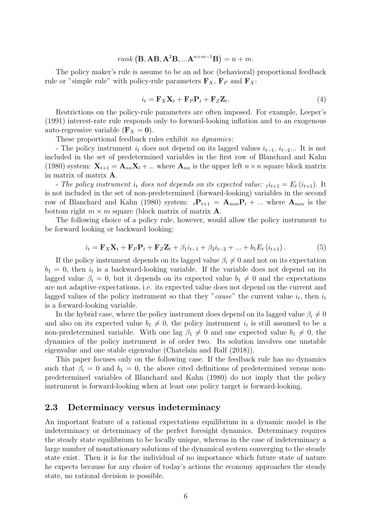# $rank\left(\mathbf{B}, \mathbf{AB}, \mathbf{A}^2\mathbf{B}, ...\mathbf{A}^{n+m-1}\mathbf{B}\right) = n+m.$

The policy maker's rule is assume to be an ad hoc (behavioral) proportional feedback rule or "simple rule" with policy-rule parameters  $\mathbf{F}_X$ ,  $\mathbf{F}_P$  and  $\mathbf{F}_X$ :

$$
i_t = \mathbf{F}_X \mathbf{X}_t + \mathbf{F}_P \mathbf{P}_t + \mathbf{F}_Z \mathbf{Z}_t.
$$
 (4)

Restrictions on the policy-rule parameters are often imposed. For example, Leeper's (1991) interest-rate rule responds only to forward-looking inflation and to an exogenous auto-regressive variable  $(\mathbf{F}_X = \mathbf{0}).$ 

These proportional feedback rules exhibit no dynamics:

- The policy instrument  $i_t$  does not depend on its lagged values  $i_{t-1}, i_{t-2}$ ... It is not included in the set of predetermined variables in the first row of Blanchard and Kahn (1980) system:  $X_{t+1} = A_{nn}X_t + ...$  where  $A_{nn}$  is the upper left  $n \times n$  square block matrix in matrix of matrix A.

- The policy instrument  $i_t$  does not depends on its expected value:  $t_i t_{t+1} = E_t (i_{t+1})$ . It is not included in the set of non-predetermined (forward-looking) variables in the second row of Blanchard and Kahn (1980) system:  ${}_{t}P_{t+1} = A_{mm}P_{t} + ...$  where  $A_{mm}$  is the bottom right  $m \times m$  square (block matrix of matrix **A**.

The following choice of a policy rule, however, would allow the policy instrument to be forward looking or backward looking:

$$
i_{t} = \mathbf{F}_{X}\mathbf{X}_{t} + \mathbf{F}_{P}\mathbf{P}_{t} + \mathbf{F}_{Z}\mathbf{Z}_{t} + \beta_{1}i_{t-1} + \beta_{2}i_{t-2} + \dots + b_{1}E_{t}\left(i_{t+1}\right). \tag{5}
$$

If the policy instrument depends on its lagged value  $\beta_i \neq 0$  and not on its expectation  $b_1 = 0$ , then  $i_t$  is a backward-looking variable. If the variable does not depend on its lagged value  $\beta_i = 0$ , but it depends on its expected value  $b_1 \neq 0$  and the expectations are not adaptive expectations, i.e. its expected value does not depend on the current and lagged values of the policy instrument so that they "cause" the current value  $i_t$ , then  $i_t$ is a forward-looking variable.

In the hybrid case, where the policy instrument does depend on its lagged value  $\beta_i \neq 0$ and also on its expected value  $b_1 \neq 0$ , the policy instrument  $i_t$  is still assumed to be a non-predetermined variable. With one lag  $\beta_1 \neq 0$  and one expected value  $b_1 \neq 0$ , the dynamics of the policy instrument is of order two. Its solution involves one unstable eigenvalue and one stable eigenvalue (Chatelain and Ralf (2018)).

This paper focuses only on the following case. If the feedback rule has no dynamics such that  $\beta_i = 0$  and  $b_1 = 0$ , the above cited definitions of predetermined versus nonpredetermined variables of Blanchard and Kahn (1980) do not imply that the policy instrument is forward-looking when at least one policy target is forward-looking.

#### 2.3 Determinacy versus indeterminacy

An important feature of a rational expectations equilibrium in a dynamic model is the indeterminacy or determinacy of the perfect foresight dynamics. Determinacy requires the steady state equilibrium to be locally unique, whereas in the case of indeterminacy a large number of nonstationary solutions of the dynamical system converging to the steady state exist. Then it is for the individual of no importance which future state of nature he expects because for any choice of today's actions the economy approaches the steady state, no rational decision is possible.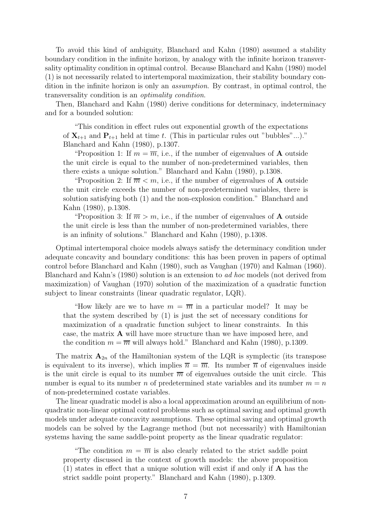To avoid this kind of ambiguity, Blanchard and Kahn (1980) assumed a stability boundary condition in the infinite horizon, by analogy with the infinite horizon transversality optimality condition in optimal control. Because Blanchard and Kahn (1980) model (1) is not necessarily related to intertemporal maximization, their stability boundary condition in the infinite horizon is only an assumption. By contrast, in optimal control, the transversality condition is an optimality condition.

Then, Blanchard and Kahn (1980) derive conditions for determinacy, indeterminacy and for a bounded solution:

"This condition in effect rules out exponential growth of the expectations of  $X_{t+1}$  and  $P_{t+1}$  held at time t. (This in particular rules out "bubbles"...)." Blanchard and Kahn (1980), p.1307.

"Proposition 1: If  $m = \overline{m}$ , i.e., if the number of eigenvalues of **A** outside the unit circle is equal to the number of non-predetermined variables, then there exists a unique solution." Blanchard and Kahn (1980), p.1308.

"Proposition 2: If  $\overline{m} < m$ , i.e., if the number of eigenvalues of **A** outside the unit circle exceeds the number of non-predetermined variables, there is solution satisfying both (1) and the non-explosion condition." Blanchard and Kahn (1980), p.1308.

"Proposition 3: If  $\overline{m} > m$ , i.e., if the number of eigenvalues of **A** outside the unit circle is less than the number of non-predetermined variables, there is an infinity of solutions." Blanchard and Kahn (1980), p.1308.

Optimal intertemporal choice models always satisfy the determinacy condition under adequate concavity and boundary conditions: this has been proven in papers of optimal control before Blanchard and Kahn (1980), such as Vaughan (1970) and Kalman (1960). Blanchard and Kahn's (1980) solution is an extension to ad hoc models (not derived from maximization) of Vaughan (1970) solution of the maximization of a quadratic function subject to linear constraints (linear quadratic regulator, LQR).

"How likely are we to have  $m = \overline{m}$  in a particular model? It may be that the system described by (1) is just the set of necessary conditions for maximization of a quadratic function subject to linear constraints. In this case, the matrix A will have more structure than we have imposed here, and the condition  $m = \overline{m}$  will always hold." Blanchard and Kahn (1980), p.1309.

The matrix  $\mathbf{A}_{2n}$  of the Hamiltonian system of the LQR is symplectic (its transpose is equivalent to its inverse), which implies  $\overline{n} = \overline{m}$ . Its number  $\overline{n}$  of eigenvalues inside is the unit circle is equal to its number  $\overline{m}$  of eigenvalues outside the unit circle. This number is equal to its number n of predetermined state variables and its number  $m = n$ of non-predetermined costate variables.

The linear quadratic model is also a local approximation around an equilibrium of nonquadratic non-linear optimal control problems such as optimal saving and optimal growth models under adequate concavity assumptions. These optimal saving and optimal growth models can be solved by the Lagrange method (but not necessarily) with Hamiltonian systems having the same saddle-point property as the linear quadratic regulator:

"The condition  $m = \overline{m}$  is also clearly related to the strict saddle point property discussed in the context of growth models: the above proposition (1) states in effect that a unique solution will exist if and only if A has the strict saddle point property." Blanchard and Kahn (1980), p.1309.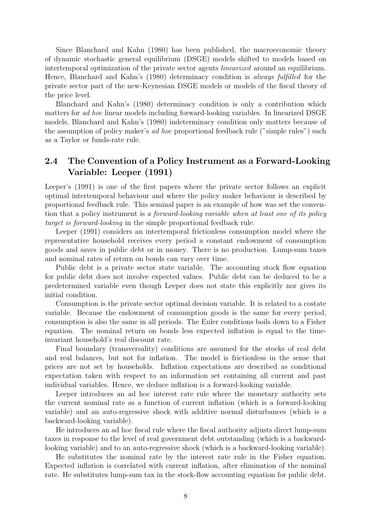Since Blanchard and Kahn (1980) has been published, the macroeconomic theory of dynamic stochastic general equilibrium (DSGE) models shifted to models based on intertemporal optimization of the private sector agents linearized around an equilibrium. Hence, Blanchard and Kahn's (1980) determinacy condition is always fulfilled for the private sector part of the new-Keynesian DSGE models or models of the fiscal theory of the price level.

Blanchard and Kahn's (1980) determinacy condition is only a contribution which matters for ad hoc linear models including forward-looking variables. In linearized DSGE models, Blanchard and Kahn's (1980) indeterminacy condition only matters because of the assumption of policy maker's ad hoc proportional feedback rule ("simple rules") such as a Taylor or funds-rate rule.

# 2.4 The Convention of a Policy Instrument as a Forward-Looking Variable: Leeper (1991)

Leeper's (1991) is one of the first papers where the private sector follows an explicit optimal intertemporal behaviour and where the policy maker behaviour is described by proportional feedback rule. This seminal paper is an example of how was set the convention that a policy instrument is a forward-looking variable when at least one of its policy target is forward-looking in the simple proportional feedback rule.

Leeper (1991) considers an intertemporal frictionless consumption model where the representative household receives every period a constant endowment of consumption goods and saves in public debt or in money. There is no production. Lump-sum taxes and nominal rates of return on bonds can vary over time.

Public debt is a private sector state variable. The accounting stock flow equation for public debt does not involve expected values. Public debt can be deduced to be a predetermined variable even though Leeper does not state this explicitly nor gives its initial condition.

Consumption is the private sector optimal decision variable. It is related to a costate variable. Because the endowment of consumption goods is the same for every period, consumption is also the same in all periods. The Euler conditions boils down to a Fisher equation. The nominal return on bonds less expected inflation is equal to the timeinvariant household's real discount rate.

Final boundary (transversality) conditions are assumed for the stocks of real debt and real balances, but not for inflation. The model is frictionless in the sense that prices are not set by households. Inflation expectations are described as conditional expectation taken with respect to an information set containing all current and past individual variables. Hence, we deduce inflation is a forward-looking variable.

Leeper introduces an ad hoc interest rate rule where the monetary authority sets the current nominal rate as a function of current inflation (which is a forward-looking variable) and an auto-regressive shock with additive normal disturbances (which is a backward-looking variable).

He introduces an ad hoc fiscal rule where the fiscal authority adjusts direct lump-sum taxes in response to the level of real government debt outstanding (which is a backwardlooking variable) and to an auto-regressive shock (which is a backward-looking variable).

He substitutes the nominal rate by the interest rate rule in the Fisher equation. Expected inflation is correlated with current inflation, after elimination of the nominal rate. He substitutes lump-sum tax in the stock-flow accounting equation for public debt.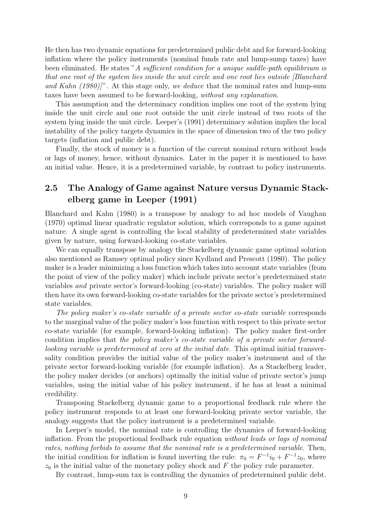He then has two dynamic equations for predetermined public debt and for forward-looking inflation where the policy instruments (nominal funds rate and lump-sump taxes) have been eliminated. He states "A sufficient condition for a unique saddle-path equilibrium is that one root of the system lies inside the unit circle and one root lies outside [Blanchard and Kahn  $(1980)$ ". At this stage only, we deduce that the nominal rates and lump-sum taxes have been assumed to be forward-looking, without any explanation.

This assumption and the determinacy condition implies one root of the system lying inside the unit circle and one root outside the unit circle instead of two roots of the system lying inside the unit circle. Leeper's (1991) determinacy solution implies the local instability of the policy targets dynamics in the space of dimension two of the two policy targets (inflation and public debt).

Finally, the stock of money is a function of the current nominal return without leads or lags of money, hence, without dynamics. Later in the paper it is mentioned to have an initial value. Hence, it is a predetermined variable, by contrast to policy instruments.

# 2.5 The Analogy of Game against Nature versus Dynamic Stackelberg game in Leeper (1991)

Blanchard and Kahn (1980) is a transpose by analogy to ad hoc models of Vaughan (1970) optimal linear quadratic regulator solution, which corresponds to a game against nature. A single agent is controlling the local stability of predetermined state variables given by nature, using forward-looking co-state variables.

We can equally transpose by analogy the Stackelberg dynamic game optimal solution also mentioned as Ramsey optimal policy since Kydland and Prescott (1980). The policy maker is a leader minimizing a loss function which takes into account state variables (from the point of view of the policy maker) which include private sector's predetermined state variables and private sector's forward-looking (co-state) variables. The policy maker will then have its own forward-looking co-state variables for the private sector's predetermined state variables.

The policy maker's co-state variable of a private sector co-state variable corresponds to the marginal value of the policy maker's loss function with respect to this private sector co-state variable (for example, forward-looking inflation). The policy maker first-order condition implies that the policy maker's co-state variable of a private sector forwardlooking variable is predetermined at zero at the initial date. This optimal initial transversality condition provides the initial value of the policy maker's instrument and of the private sector forward-looking variable (for example inflation). As a Stackelberg leader, the policy maker decides (or anchors) optimally the initial value of private sector's jump variables, using the initial value of his policy instrument, if he has at least a minimal credibility.

Transposing Stackelberg dynamic game to a proportional feedback rule where the policy instrument responds to at least one forward-looking private sector variable, the analogy suggests that the policy instrument is a predetermined variable.

In Leeper's model, the nominal rate is controlling the dynamics of forward-looking inflation. From the proportional feedback rule equation without leads or lags of nominal rates, nothing forbids to assume that the nominal rate is a predetermined variable. Then, the initial condition for inflation is found inverting the rule:  $\pi_0 = F^{-1}i_0 + F^{-1}z_0$ , where  $z_0$  is the initial value of the monetary policy shock and F the policy rule parameter.

By contrast, lump-sum tax is controlling the dynamics of predetermined public debt.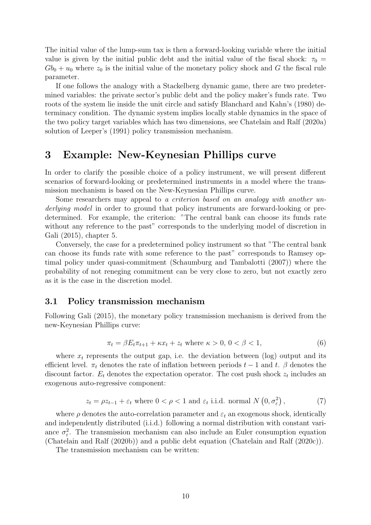The initial value of the lump-sum tax is then a forward-looking variable where the initial value is given by the initial public debt and the initial value of the fiscal shock:  $\tau_0 =$  $Gb_0 + u_0$  where  $z_0$  is the initial value of the monetary policy shock and G the fiscal rule parameter.

If one follows the analogy with a Stackelberg dynamic game, there are two predetermined variables: the private sector's public debt and the policy maker's funds rate. Two roots of the system lie inside the unit circle and satisfy Blanchard and Kahn's (1980) determinacy condition. The dynamic system implies locally stable dynamics in the space of the two policy target variables which has two dimensions, see Chatelain and Ralf (2020a) solution of Leeper's (1991) policy transmission mechanism.

# 3 Example: New-Keynesian Phillips curve

In order to clarify the possible choice of a policy instrument, we will present different scenarios of forward-looking or predetermined instruments in a model where the transmission mechanism is based on the New-Keynesian Phillips curve.

Some researchers may appeal to a criterion based on an analogy with another underlying model in order to ground that policy instruments are forward-looking or predetermined. For example, the criterion: "The central bank can choose its funds rate without any reference to the past" corresponds to the underlying model of discretion in Gali (2015), chapter 5.

Conversely, the case for a predetermined policy instrument so that "The central bank can choose its funds rate with some reference to the past" corresponds to Ramsey optimal policy under quasi-commitment (Schaumburg and Tambalotti (2007)) where the probability of not reneging commitment can be very close to zero, but not exactly zero as it is the case in the discretion model.

## 3.1 Policy transmission mechanism

Following Gali (2015), the monetary policy transmission mechanism is derived from the new-Keynesian Phillips curve:

$$
\pi_t = \beta E_t \pi_{t+1} + \kappa x_t + z_t \text{ where } \kappa > 0, \ 0 < \beta < 1,\tag{6}
$$

where  $x_t$  represents the output gap, i.e. the deviation between (log) output and its efficient level.  $\pi_t$  denotes the rate of inflation between periods  $t - 1$  and t.  $\beta$  denotes the discount factor.  $E_t$  denotes the expectation operator. The cost push shock  $z_t$  includes an exogenous auto-regressive component:

$$
z_t = \rho z_{t-1} + \varepsilon_t \text{ where } 0 < \rho < 1 \text{ and } \varepsilon_t \text{ i.i.d. normal } N\left(0, \sigma_\varepsilon^2\right),\tag{7}
$$

where  $\rho$  denotes the auto-correlation parameter and  $\varepsilon_t$  an exogenous shock, identically and independently distributed (i.i.d.) following a normal distribution with constant variance  $\sigma_{\varepsilon}^2$ <sup>2</sup>. The transmission mechanism can also include an Euler consumption equation (Chatelain and Ralf (2020b)) and a public debt equation (Chatelain and Ralf (2020c)).

The transmission mechanism can be written: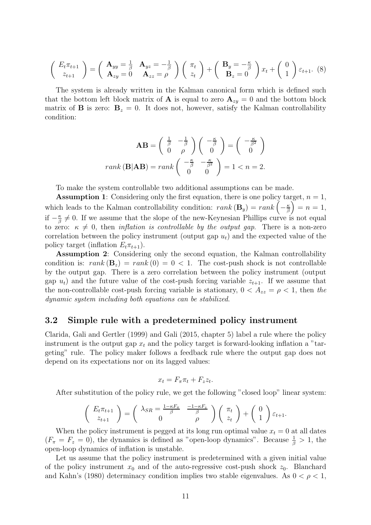$$
\begin{pmatrix} E_t \pi_{t+1} \\ z_{t+1} \end{pmatrix} = \begin{pmatrix} \mathbf{A}_{yy} = \frac{1}{\beta} & \mathbf{A}_{yz} = -\frac{1}{\beta} \\ \mathbf{A}_{zy} = 0 & \mathbf{A}_{zz} = \rho \end{pmatrix} \begin{pmatrix} \pi_t \\ z_t \end{pmatrix} + \begin{pmatrix} \mathbf{B}_y = -\frac{\kappa}{\beta} \\ \mathbf{B}_z = 0 \end{pmatrix} x_t + \begin{pmatrix} 0 \\ 1 \end{pmatrix} \varepsilon_{t+1}.
$$
 (8)

The system is already written in the Kalman canonical form which is defined such that the bottom left block matrix of **A** is equal to zero  $A_{zy} = 0$  and the bottom block matrix of **B** is zero:  $B_z = 0$ . It does not, however, satisfy the Kalman controllability condition:

$$
\mathbf{AB} = \begin{pmatrix} \frac{1}{\beta} & -\frac{1}{\beta} \\ 0 & \rho \end{pmatrix} \begin{pmatrix} -\frac{\kappa}{\beta} \\ 0 \end{pmatrix} = \begin{pmatrix} -\frac{\kappa}{\beta^2} \\ 0 \end{pmatrix}
$$
  

$$
rank(\mathbf{B}|\mathbf{AB}) = rank \begin{pmatrix} -\frac{\kappa}{\beta} & -\frac{\kappa}{\beta^2} \\ 0 & 0 \end{pmatrix} = 1 < n = 2.
$$

To make the system controllable two additional assumptions can be made.

**Assumption 1:** Considering only the first equation, there is one policy target,  $n = 1$ , which leads to the Kalman controllability condition:  $rank(\mathbf{B}_y) = rank(-\frac{\kappa}{\beta})$  $\left(\frac{\kappa}{\beta}\right) = n = 1,$ if  $-\frac{\kappa}{\beta}$  $\frac{\kappa}{\beta} \neq 0$ . If we assume that the slope of the new-Keynesian Phillips curve is not equal to zero:  $\kappa \neq 0$ , then *inflation is controllable by the output gap*. There is a non-zero correlation between the policy instrument (output gap  $u_t$ ) and the expected value of the policy target (inflation  $E_t \pi_{t+1}$ ).

Assumption 2: Considering only the second equation, the Kalman controllability condition is:  $rank(\mathbf{B}_z) = rank(0) = 0 < 1$ . The cost-push shock is not controllable by the output gap. There is a zero correlation between the policy instrument (output gap  $u_t$ ) and the future value of the cost-push forcing variable  $z_{t+1}$ . If we assume that the non-controllable cost-push forcing variable is stationary,  $0 < A_{zz} = \rho < 1$ , then the dynamic system including both equations can be stabilized.

## 3.2 Simple rule with a predetermined policy instrument

Clarida, Gali and Gertler (1999) and Gali (2015, chapter 5) label a rule where the policy instrument is the output gap  $x_t$  and the policy target is forward-looking inflation a "targeting" rule. The policy maker follows a feedback rule where the output gap does not depend on its expectations nor on its lagged values:

$$
x_t = F_{\pi} \pi_t + F_z z_t.
$$

After substitution of the policy rule, we get the following "closed loop" linear system:

$$
\begin{pmatrix} E_t \pi_{t+1} \\ z_{t+1} \end{pmatrix} = \begin{pmatrix} \lambda_{SR} = \frac{1 - \kappa F_{\pi}}{\beta} & \frac{-1 - \kappa F_z}{\beta} \\ 0 & \rho \end{pmatrix} \begin{pmatrix} \pi_t \\ z_t \end{pmatrix} + \begin{pmatrix} 0 \\ 1 \end{pmatrix} \varepsilon_{t+1}.
$$

When the policy instrument is pegged at its long run optimal value  $x_t = 0$  at all dates  $(F_{\pi} = F_z = 0)$ , the dynamics is defined as "open-loop dynamics". Because  $\frac{1}{\beta} > 1$ , the open-loop dynamics of inflation is unstable.

Let us assume that the policy instrument is predetermined with a given initial value of the policy instrument  $x_0$  and of the auto-regressive cost-push shock  $z_0$ . Blanchard and Kahn's (1980) determinacy condition implies two stable eigenvalues. As  $0 < \rho < 1$ ,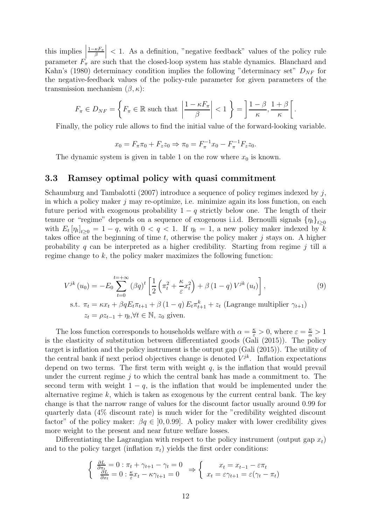this implies  $\Big|$  $1-\kappa F_\pi$ β  $\begin{array}{c} \n\end{array}$ < 1. As a definition, "negative feedback" values of the policy rule parameter  $F_{\pi}$  are such that the closed-loop system has stable dynamics. Blanchard and Kahn's (1980) determinacy condition implies the following "determinacy set"  $D_{NF}$  for the negative-feedback values of the policy-rule parameter for given parameters of the transmission mechanism  $(\beta, \kappa)$ :

$$
F_{\pi} \in D_{NF} = \left\{ F_{\pi} \in \mathbb{R} \text{ such that } \left| \frac{1 - \kappa F_{\pi}}{\beta} \right| < 1 \right\} = \left| \frac{1 - \beta}{\kappa}, \frac{1 + \beta}{\kappa} \right|.
$$

Finally, the policy rule allows to find the initial value of the forward-looking variable.

$$
x_0 = F_{\pi}\pi_0 + F_z z_0 \Rightarrow \pi_0 = F_{\pi}^{-1}x_0 - F_{\pi}^{-1}F_z z_0.
$$

The dynamic system is given in table 1 on the row where  $x_0$  is known.

### 3.3 Ramsey optimal policy with quasi commitment

Schaumburg and Tambalotti (2007) introduce a sequence of policy regimes indexed by  $j$ , in which a policy maker  $j$  may re-optimize, i.e. minimize again its loss function, on each future period with exogenous probability  $1 - q$  strictly below one. The length of their tenure or "regime" depends on a sequence of exogenous i.i.d. Bernoulli signals  $\{\eta_t\}_{t>0}$ with  $E_t[\eta_t]_{t\geq 0} = 1 - q$ , with  $0 < q < 1$ . If  $\eta_t = 1$ , a new policy maker indexed by k takes office at the beginning of time t, otherwise the policy maker j stays on. A higher probability q can be interpreted as a higher credibility. Starting from regime  $j$  till a regime change to  $k$ , the policy maker maximizes the following function:

$$
V^{jk}(u_0) = -E_0 \sum_{t=0}^{t=+\infty} (\beta q)^t \left[ \frac{1}{2} \left( \pi_t^2 + \frac{\kappa}{\varepsilon} x_t^2 \right) + \beta (1-q) V^{jk}(u_t) \right],\tag{9}
$$

s.t. 
$$
\pi_t = \kappa x_t + \beta q E_t \pi_{t+1} + \beta (1 - q) E_t \pi_{t+1}^k + z_t
$$
 (Lagrange multiplier  $\gamma_{t+1}$ )  
 $z_t = \rho z_{t-1} + \eta_t, \forall t \in \mathbb{N}, z_0$  given.

The loss function corresponds to households welfare with  $\alpha = \frac{\kappa}{\varepsilon} > 0$ , where  $\varepsilon = \frac{\kappa}{\alpha} > 1$ is the elasticity of substitution between differentiated goods (Gali (2015)). The policy target is inflation and the policy instrument is the output gap (Gali (2015)). The utility of the central bank if next period objectives change is denoted  $V^{jk}$ . Inflation expectations depend on two terms. The first term with weight  $q$ , is the inflation that would prevail under the current regime  $j$  to which the central bank has made a commitment to. The second term with weight  $1 - q$ , is the inflation that would be implemented under the alternative regime  $k$ , which is taken as exogenous by the current central bank. The key change is that the narrow range of values for the discount factor usually around 0.99 for quarterly data (4% discount rate) is much wider for the "credibility weighted discount factor" of the policy maker:  $\beta q \in [0, 0.99]$ . A policy maker with lower credibility gives more weight to the present and near future welfare losses.

Differentiating the Lagrangian with respect to the policy instrument (output gap  $x_t$ ) and to the policy target (inflation  $\pi_t$ ) yields the first order conditions:

$$
\begin{cases} \frac{\partial L}{\partial \pi_t} = 0 : \pi_t + \gamma_{t+1} - \gamma_t = 0\\ \frac{\partial L}{\partial x_t} = 0 : \frac{\kappa}{\varepsilon} x_t - \kappa \gamma_{t+1} = 0 \end{cases} \Rightarrow \begin{cases} x_t = x_{t-1} - \varepsilon \pi_t\\ x_t = \varepsilon \gamma_{t+1} = \varepsilon (\gamma_t - \pi_t) \end{cases}
$$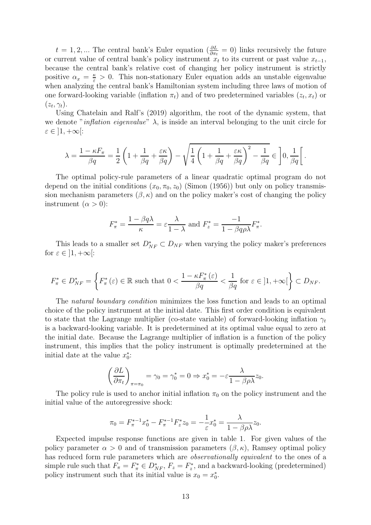$t = 1, 2, ...$  The central bank's Euler equation  $\left(\frac{\partial L}{\partial \pi_t} = 0\right)$  links recursively the future or current value of central bank's policy instrument  $x_t$  to its current or past value  $x_{t-1}$ , because the central bank's relative cost of changing her policy instrument is strictly positive  $\alpha_x = \frac{\kappa}{\varepsilon} > 0$ . This non-stationary Euler equation adds an unstable eigenvalue when analyzing the central bank's Hamiltonian system including three laws of motion of one forward-looking variable (inflation  $\pi_t$ ) and of two predetermined variables  $(z_t, x_t)$  or  $(z_t, \gamma_t).$ 

Using Chatelain and Ralf's (2019) algorithm, the root of the dynamic system, that we denote "*inflation eigenvalue*"  $\lambda$ , is inside an interval belonging to the unit circle for  $\varepsilon \in [1, +\infty[$ :

$$
\lambda = \frac{1 - \kappa F_{\pi}}{\beta q} = \frac{1}{2} \left( 1 + \frac{1}{\beta q} + \frac{\varepsilon \kappa}{\beta q} \right) - \sqrt{\frac{1}{4} \left( 1 + \frac{1}{\beta q} + \frac{\varepsilon \kappa}{\beta q} \right)^2 - \frac{1}{\beta q}} \in \left] 0, \frac{1}{\beta q} \right[.
$$

The optimal policy-rule parameters of a linear quadratic optimal program do not depend on the initial conditions  $(x_0, \pi_0, z_0)$  (Simon (1956)) but only on policy transmission mechanism parameters  $(\beta, \kappa)$  and on the policy maker's cost of changing the policy instrument  $(\alpha > 0)$ :

$$
F_{\pi}^* = \frac{1 - \beta q \lambda}{\kappa} = \varepsilon \frac{\lambda}{1 - \lambda} \text{ and } F_z^* = \frac{-1}{1 - \beta q \rho \lambda} F_{\pi}^*.
$$

This leads to a smaller set  $D_{NF}^* \subset D_{NF}$  when varying the policy maker's preferences for  $\varepsilon \in [1, +\infty]$ :

$$
F_{\pi}^* \in D_{NF}^* = \left\{ F_{\pi}^*(\varepsilon) \in \mathbb{R} \text{ such that } 0 < \frac{1 - \kappa F_{\pi}^*(\varepsilon)}{\beta q} < \frac{1}{\beta q} \text{ for } \varepsilon \in ]1, +\infty[\right\} \subset D_{NF}.
$$

The natural boundary condition minimizes the loss function and leads to an optimal choice of the policy instrument at the initial date. This first order condition is equivalent to state that the Lagrange multiplier (co-state variable) of forward-looking inflation  $\gamma_t$ is a backward-looking variable. It is predetermined at its optimal value equal to zero at the initial date. Because the Lagrange multiplier of inflation is a function of the policy instrument, this implies that the policy instrument is optimally predetermined at the initial date at the value  $x_0^*$ :

$$
\left(\frac{\partial L}{\partial \pi_t}\right)_{\pi=\pi_0} = \gamma_0 = \gamma_0^* = 0 \Rightarrow x_0^* = -\varepsilon \frac{\lambda}{1 - \beta \rho \lambda} z_0.
$$

The policy rule is used to anchor initial inflation  $\pi_0$  on the policy instrument and the initial value of the autoregressive shock:

$$
\pi_0 = F_{\pi}^{*-1} x_0^* - F_{\pi}^{*-1} F_z^* z_0 = -\frac{1}{\varepsilon} x_0^* = \frac{\lambda}{1 - \beta \rho \lambda} z_0.
$$

Expected impulse response functions are given in table 1. For given values of the policy parameter  $\alpha > 0$  and of transmission parameters  $(\beta, \kappa)$ , Ramsey optimal policy has reduced form rule parameters which are *observationally equivalent* to the ones of a simple rule such that  $F_{\pi} = F_{\pi}^* \in D_{NF}^*$ ,  $F_z = F_z^*$ , and a backward-looking (predetermined) policy instrument such that its initial value is  $x_0 = x_0^*$ .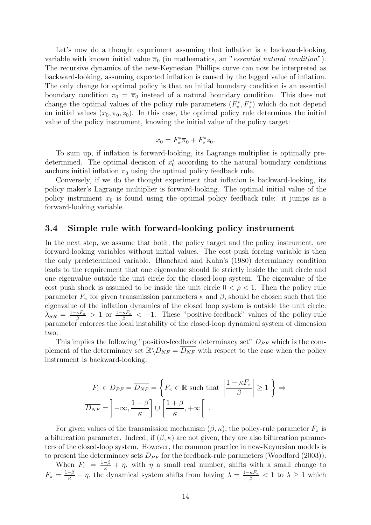Let's now do a thought experiment assuming that inflation is a backward-looking variable with known initial value  $\overline{\pi}_0$  (in mathematics, an "essential natural condition"). The recursive dynamics of the new-Keynesian Phillips curve can now be interpreted as backward-looking, assuming expected inflation is caused by the lagged value of inflation. The only change for optimal policy is that an initial boundary condition is an essential boundary condition  $\pi_0 = \overline{\pi}_0$  instead of a natural boundary condition. This does not change the optimal values of the policy rule parameters  $(F_{\pi}^*, F_{z}^*)$  which do not depend on initial values  $(x_0, \pi_0, z_0)$ . In this case, the optimal policy rule determines the initial value of the policy instrument, knowing the initial value of the policy target:

$$
x_0 = F_{\pi}^* \overline{\pi}_0 + F_z^* z_0.
$$

To sum up, if inflation is forward-looking, its Lagrange multiplier is optimally predetermined. The optimal decision of  $x_0^*$  according to the natural boundary conditions anchors initial inflation  $\pi_0$  using the optimal policy feedback rule.

Conversely, if we do the thought experiment that inflation is backward-looking, its policy maker's Lagrange multiplier is forward-looking. The optimal initial value of the policy instrument  $x_0$  is found using the optimal policy feedback rule: it jumps as a forward-looking variable.

## 3.4 Simple rule with forward-looking policy instrument

In the next step, we assume that both, the policy target and the policy instrument, are forward-looking variables without initial values. The cost-push forcing variable is then the only predetermined variable. Blanchard and Kahn's (1980) determinacy condition leads to the requirement that one eigenvalue should lie strictly inside the unit circle and one eigenvalue outside the unit circle for the closed-loop system. The eigenvalue of the cost push shock is assumed to be inside the unit circle  $0 < \rho < 1$ . Then the policy rule parameter  $F_{\pi}$  for given transmission parameters  $\kappa$  and  $\beta$ , should be chosen such that the eigenvalue of the inflation dynamics of the closed loop system is outside the unit circle:  $\lambda_{SR} = \frac{1-\kappa F_{\pi}}{\beta} > 1$  or  $\frac{1-\kappa F_{\pi}}{\beta} < -1$ . These "positive-feedback" values of the policy-rule parameter enforces the local instability of the closed-loop dynamical system of dimension two.

This implies the following "positive-feedback determinacy set"  $D_{PF}$  which is the complement of the determinacy set  $\mathbb{R}\backslash D_{NF} = \overline{D_{NF}}$  with respect to the case when the policy instrument is backward-looking.

$$
F_{\pi} \in D_{PF} = \overline{D_{NF}} = \left\{ F_{\pi} \in \mathbb{R} \text{ such that } \left| \frac{1 - \kappa F_{\pi}}{\beta} \right| \ge 1 \right\} \Rightarrow
$$

$$
\overline{D_{NF}} = \left[ -\infty, \frac{1 - \beta}{\kappa} \right] \cup \left[ \frac{1 + \beta}{\kappa}, +\infty \right[ .
$$

For given values of the transmission mechanism  $(\beta, \kappa)$ , the policy-rule parameter  $F_{\pi}$  is a bifurcation parameter. Indeed, if  $(\beta, \kappa)$  are not given, they are also bifurcation parameters of the closed-loop system. However, the common practice in new-Keynesian models is to present the determinacy sets  $D_{PF}$  for the feedback-rule parameters (Woodford (2003)).

When  $F_{\pi} = \frac{1-\beta}{\kappa} + \eta$ , with  $\eta$  a small real number, shifts with a small change to  $F_{\pi} = \frac{1-\beta}{\kappa} - \eta$ , the dynamical system shifts from having  $\lambda = \frac{1-\kappa F_{\pi}}{\beta} < 1$  to  $\lambda \geq 1$  which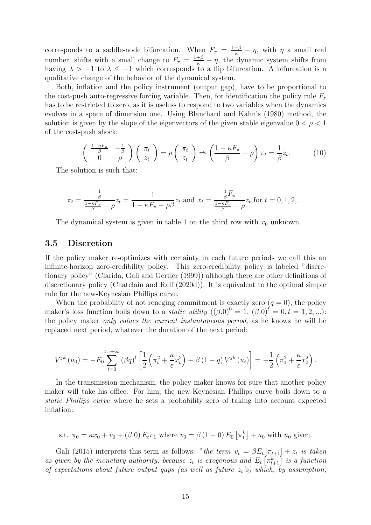corresponds to a saddle-node bifurcation. When  $F_{\pi} = \frac{1+\beta}{\kappa} - \eta$ , with  $\eta$  a small real number, shifts with a small change to  $F_{\pi} = \frac{1+\beta}{\kappa} + \eta$ , the dynamic system shifts from having  $\lambda > -1$  to  $\lambda \le -1$  which corresponds to a flip bifurcation. A bifurcation is a qualitative change of the behavior of the dynamical system.

Both, inflation and the policy instrument (output gap), have to be proportional to the cost-push auto-regressive forcing variable. Then, for identification the policy rule  $F_z$ has to be restricted to zero, as it is useless to respond to two variables when the dynamics evolves in a space of dimension one. Using Blanchard and Kahn's (1980) method, the solution is given by the slope of the eigenvectors of the given stable eigenvalue  $0 < \rho < 1$ of the cost-push shock:

$$
\begin{pmatrix}\n\frac{1-\kappa F_{\pi}}{\beta} & -\frac{1}{\beta} \\
0 & \rho\n\end{pmatrix}\n\begin{pmatrix}\n\pi_t \\
z_t\n\end{pmatrix} = \rho \begin{pmatrix}\n\pi_t \\
z_t\n\end{pmatrix} \Rightarrow \left(\frac{1-\kappa F_{\pi}}{\beta} - \rho\right)\pi_t = \frac{1}{\beta}z_t.
$$
\n(10)

The solution is such that:

$$
\pi_t = \frac{\frac{1}{\beta}}{\frac{1 - \kappa F_{\pi}}{\beta} - \rho} z_t = \frac{1}{1 - \kappa F_{\pi} - \rho \beta} z_t \text{ and } x_t = \frac{\frac{1}{\beta} F_{\pi}}{\frac{1 - \kappa F_{\pi}}{\beta} - \rho} z_t \text{ for } t = 0, 1, 2, ...
$$

The dynamical system is given in table 1 on the third row with  $x_0$  unknown.

### 3.5 Discretion

If the policy maker re-optimizes with certainty in each future periods we call this an infinite-horizon zero-credibility policy. This zero-credibility policy is labeled "discretionary policy" (Clarida, Gali and Gertler (1999)) although there are other definitions of discretionary policy (Chatelain and Ralf (2020d)). It is equivalent to the optimal simple rule for the new-Keynesian Phillips curve.

When the probability of not reneging commitment is exactly zero  $(q = 0)$ , the policy maker's loss function boils down to a *static utility*  $((\beta.0)^0 = 1, (\beta.0)^t = 0, t = 1, 2, ...).$ the policy maker only values the current instantaneous period, as he knows he will be replaced next period, whatever the duration of the next period:

$$
V^{jk}(u_0) = -E_0 \sum_{t=0}^{t=+\infty} (\beta q)^t \left[ \frac{1}{2} \left( \pi_t^2 + \frac{\kappa}{\varepsilon} x_t^2 \right) + \beta (1-q) V^{jk}(u_t) \right] = -\frac{1}{2} \left( \pi_0^2 + \frac{\kappa}{\varepsilon} x_0^2 \right).
$$

In the transmission mechanism, the policy maker knows for sure that another policy maker will take his office. For him, the new-Keynesian Phillips curve boils down to a static Phillips curve where he sets a probability zero of taking into account expected inflation:

s.t. 
$$
\pi_0 = \kappa x_0 + v_0 + (\beta.0) E_t \pi_1
$$
 where  $v_0 = \beta (1 - 0) E_0 [\pi_1^k] + u_0$  with  $u_0$  given.

Gali (2015) interprets this term as follows: "the term  $v_t = \beta E_t [\pi_{t+1}] + z_t$  is taken as given by the monetary authority, because  $z_t$  is exogenous and  $E_t\left[\pi_{t+1}^k\right]$  is a function of expectations about future output gaps (as well as future  $z_t$ 's) which, by assumption,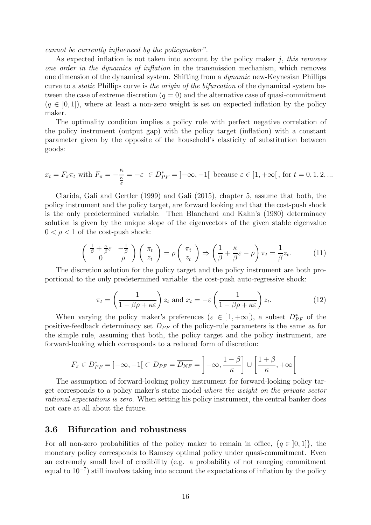cannot be currently influenced by the policymaker".

As expected inflation is not taken into account by the policy maker  $j$ , this removes one order in the dynamics of inflation in the transmission mechanism, which removes one dimension of the dynamical system. Shifting from a dynamic new-Keynesian Phillips curve to a static Phillips curve is the origin of the bifurcation of the dynamical system between the case of extreme discretion  $(q = 0)$  and the alternative case of quasi-commitment  $(q \in [0,1])$ , where at least a non-zero weight is set on expected inflation by the policy maker.

The optimality condition implies a policy rule with perfect negative correlation of the policy instrument (output gap) with the policy target (inflation) with a constant parameter given by the opposite of the household's elasticity of substitution between goods:

$$
x_t = F_{\pi}\pi_t
$$
 with  $F_{\pi} = -\frac{\kappa}{\frac{\kappa}{\varepsilon}} = -\varepsilon \in D_{PF}^* = [-\infty, -1]$  because  $\varepsilon \in [1, +\infty]$ , for  $t = 0, 1, 2, ...$ 

Clarida, Gali and Gertler (1999) and Gali (2015), chapter 5, assume that both, the policy instrument and the policy target, are forward looking and that the cost-push shock is the only predetermined variable. Then Blanchard and Kahn's (1980) determinacy solution is given by the unique slope of the eigenvectors of the given stable eigenvalue  $0 < \rho < 1$  of the cost-push shock:

$$
\begin{pmatrix}\n\frac{1}{\beta} + \frac{\kappa}{\beta} \varepsilon & -\frac{1}{\beta} \\
0 & \rho\n\end{pmatrix}\n\begin{pmatrix}\n\pi_t \\
z_t\n\end{pmatrix} = \rho \begin{pmatrix}\n\pi_t \\
z_t\n\end{pmatrix} \Rightarrow \left(\frac{1}{\beta} + \frac{\kappa}{\beta} \varepsilon - \rho\right) \pi_t = \frac{1}{\beta} z_t.
$$
\n(11)

The discretion solution for the policy target and the policy instrument are both proportional to the only predetermined variable: the cost-push auto-regressive shock:

$$
\pi_t = \left(\frac{1}{1 - \beta \rho + \kappa \varepsilon}\right) z_t \text{ and } x_t = -\varepsilon \left(\frac{1}{1 - \beta \rho + \kappa \varepsilon}\right) z_t.
$$
 (12)

When varying the policy maker's preferences  $(\varepsilon \in ]1, +\infty[$ , a subset  $D_{PF}^*$  of the positive-feedback determinacy set  $D_{PF}$  of the policy-rule parameters is the same as for the simple rule, assuming that both, the policy target and the policy instrument, are forward-looking which corresponds to a reduced form of discretion:

$$
F_{\pi} \in D_{PF}^{*} = [-\infty, -1] \subset D_{PF} = \overline{D_{NF}} = \left[ -\infty, \frac{1-\beta}{\kappa} \right] \cup \left[ \frac{1+\beta}{\kappa}, +\infty \right]
$$

The assumption of forward-looking policy instrument for forward-looking policy target corresponds to a policy maker's static model where the weight on the private sector rational expectations is zero. When setting his policy instrument, the central banker does not care at all about the future.

#### 3.6 Bifurcation and robustness

For all non-zero probabilities of the policy maker to remain in office,  $\{q \in [0,1]\}$ , the monetary policy corresponds to Ramsey optimal policy under quasi-commitment. Even an extremely small level of credibility (e.g. a probability of not reneging commitment equal to  $10^{-7}$ ) still involves taking into account the expectations of inflation by the policy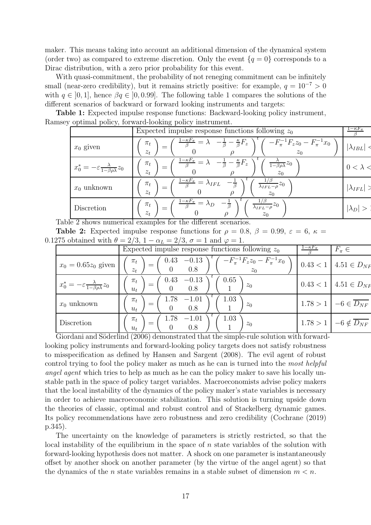maker. This means taking into account an additional dimension of the dynamical system (order two) as compared to extreme discretion. Only the event  $\{q = 0\}$  corresponds to a Dirac distribution, with a zero prior probability for this event.

With quasi-commitment, the probability of not reneging commitment can be infinitely small (near-zero credibility), but it remains strictly positive: for example,  $q = 10^{-7} > 0$ with  $q \in [0, 1]$ , hence  $\beta q \in [0, 0.99]$ . The following table 1 compares the solutions of the different scenarios of backward or forward looking instruments and targets:

Table 1: Expected impulse response functions: Backward-looking policy instrument, Ramsey optimal policy, forward-looking policy instrument.

|                                                               | Expected impulse response functions following $z_0$                                                                                                                                                                                        | $\cdot$ - $\kappa F_{\pi}$ |
|---------------------------------------------------------------|--------------------------------------------------------------------------------------------------------------------------------------------------------------------------------------------------------------------------------------------|----------------------------|
| $x_0$ given                                                   | $\begin{array}{cc} \frac{1-\kappa F_\pi}{\beta}=\lambda & -\frac{1}{\beta}-\frac{\kappa}{\beta}F_z\\ 0 & \rho \end{array} \bigg)^t \left( \begin{array}{cc} -F_\pi^{-1}F_zz_0-F_\pi^{-1}x_0\\ z_0 \end{array} \right)$<br>$\pi_t$<br>$z_t$ | $ \lambda_{IBL} $          |
| $x_0^* = -\varepsilon \frac{\lambda}{1-\beta\rho\lambda} z_0$ | $\frac{1-\kappa F_{\pi}}{2} = \lambda$<br>$-\frac{1}{\beta}-\frac{\kappa}{\beta}F_z$<br>$\frac{\lambda}{1-\beta\rho\lambda}z_0$<br>$\pi_t$<br>$z_t$<br>$z_0$                                                                               | $0<\lambda$                |
| $x_0$ unknown                                                 | $\frac{1-\kappa F_{\pi}}{\beta}=\lambda_{IFL}$<br>$\frac{1/\beta}{\lambda_{IFL}-\rho}z_0$<br>$\pi_t$<br>$-\frac{1}{\beta}$<br>$z_t$<br>$z_0$                                                                                               | $ \lambda_{IFL}  >$        |
| Discretion                                                    | $\frac{1-\kappa F_{\pi}}{2}=\lambda_D$<br>$-\frac{1}{\beta}$<br>$\pi_t$<br>$\frac{1/\rho}{\lambda_{IFL}-\rho}z_0$<br>$z_t$                                                                                                                 | $ \lambda_D  >$            |

Table 2 shows numerical examples for the different scenarios.

**Table 2:** Expected impulse response functions for  $\rho = 0.8$ ,  $\beta = 0.99$ ,  $\varepsilon = 6$ ,  $\kappa =$ 

|                                                               | Expected impulse response functions following $z_0$                                    | $1 - \kappa F_{\pi}$ | $F_{\pi} \in$                        |
|---------------------------------------------------------------|----------------------------------------------------------------------------------------|----------------------|--------------------------------------|
| $x_0 = 0.65z_0$ given                                         | $-F_{\pi}^{-1}F_z z_0 - F_{\pi}^{-1}x_0$<br>$-0.13$<br>0.43<br>$\pi_t$<br>0.8<br>$z_t$ |                      | $0.43 < 1$ 4.51 $\in$ $D_{NF}$       |
| $x_0^* = -\varepsilon \frac{\lambda}{1-\beta\rho\lambda} z_0$ | 0.65<br>$-0.13$<br>0.43<br>$\pi_t$<br>$z_0$<br>$=$<br>0.8<br>$u_t$                     |                      | $0.43 < 1$ 4.51 $\in D_{NF}$         |
| $x_0$ unknown                                                 | $-1.01$<br>1.78<br>1.03<br>$\pi_t$<br>$z_0$<br>$=$<br>0.8<br>$u_t$                     |                      | $1.78 > 1 - 6 \in \overline{D_{NF}}$ |
| Discretion                                                    | $-1.01$<br>1.03<br>1.78<br>$\pi_t$<br>$z_0$<br>=<br>0.8<br>$u_t$                       | 1.78 > 1             | $-6 \notin \overline{D_{NF}}$        |

0.1275 obtained with  $\theta = 2/3$ ,  $1 - \alpha_L = 2/3$ ,  $\sigma = 1$  and  $\varphi = 1$ .

Giordani and Söderlind (2006) demonstrated that the simple-rule solution with forwardlooking policy instruments and forward-looking policy targets does not satisfy robustness to misspecification as defined by Hansen and Sargent (2008). The evil agent of robust control trying to fool the policy maker as much as he can is turned into the most helpful angel agent which tries to help as much as he can the policy maker to save his locally unstable path in the space of policy target variables. Macroeconomists advise policy makers that the local instability of the dynamics of the policy maker's state variables is necessary in order to achieve macroeconomic stabilization. This solution is turning upside down the theories of classic, optimal and robust control and of Stackelberg dynamic games. Its policy recommendations have zero robustness and zero credibility (Cochrane (2019) p.345).

The uncertainty on the knowledge of parameters is strictly restricted, so that the local instability of the equilibrium in the space of n state variables of the solution with forward-looking hypothesis does not matter. A shock on one parameter is instantaneously offset by another shock on another parameter (by the virtue of the angel agent) so that the dynamics of the *n* state variables remains in a stable subset of dimension  $m < n$ .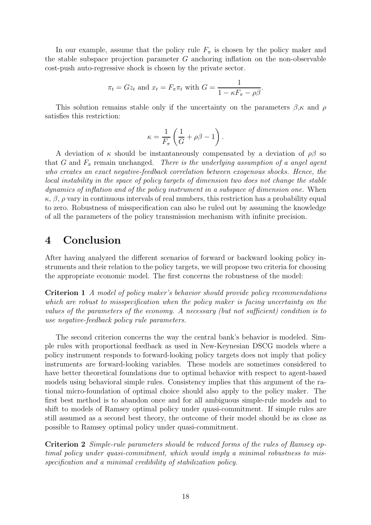In our example, assume that the policy rule  $F_{\pi}$  is chosen by the policy maker and the stable subspace projection parameter  $G$  anchoring inflation on the non-observable cost-push auto-regressive shock is chosen by the private sector.

$$
\pi_t = Gz_t
$$
 and  $x_t = F_{\pi}\pi_t$  with  $G = \frac{1}{1 - \kappa F_{\pi} - \rho\beta}$ .

This solution remains stable only if the uncertainty on the parameters  $\beta_{k}$  and  $\rho$ satisfies this restriction:

$$
\kappa = \frac{1}{F_{\pi}} \left( \frac{1}{G} + \rho \beta - 1 \right).
$$

A deviation of  $\kappa$  should be instantaneously compensated by a deviation of  $\rho\beta$  so that G and  $F_{\pi}$  remain unchanged. There is the underlying assumption of a angel agent who creates an exact negative-feedback correlation between exogenous shocks. Hence, the local instability in the space of policy targets of dimension two does not change the stable dynamics of inflation and of the policy instrument in a subspace of dimension one. When  $\kappa$ ,  $\beta$ ,  $\rho$  vary in continuous intervals of real numbers, this restriction has a probability equal to zero. Robustness of misspecification can also be ruled out by assuming the knowledge of all the parameters of the policy transmission mechanism with infinite precision.

# 4 Conclusion

After having analyzed the different scenarios of forward or backward looking policy instruments and their relation to the policy targets, we will propose two criteria for choosing the appropriate economic model. The first concerns the robustness of the model:

Criterion 1 A model of policy maker's behavior should provide policy recommendations which are robust to misspecification when the policy maker is facing uncertainty on the values of the parameters of the economy. A necessary (but not sufficient) condition is to use negative-feedback policy rule parameters.

The second criterion concerns the way the central bank's behavior is modeled. Simple rules with proportional feedback as used in New-Keynesian DSCG models where a policy instrument responds to forward-looking policy targets does not imply that policy instruments are forward-looking variables. These models are sometimes considered to have better theoretical foundations due to optimal behavior with respect to agent-based models using behavioral simple rules. Consistency implies that this argument of the rational micro-foundation of optimal choice should also apply to the policy maker. The first best method is to abandon once and for all ambiguous simple-rule models and to shift to models of Ramsey optimal policy under quasi-commitment. If simple rules are still assumed as a second best theory, the outcome of their model should be as close as possible to Ramsey optimal policy under quasi-commitment.

Criterion 2 Simple-rule parameters should be reduced forms of the rules of Ramsey optimal policy under quasi-commitment, which would imply a minimal robustness to misspecification and a minimal credibility of stabilization policy.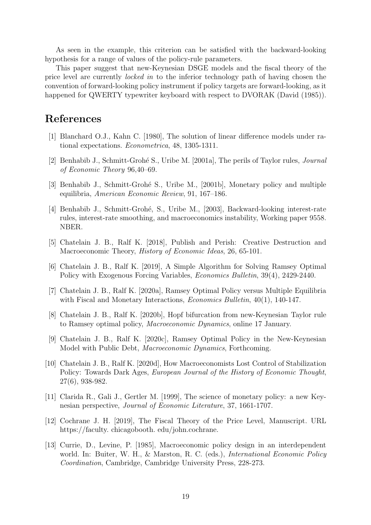As seen in the example, this criterion can be satisfied with the backward-looking hypothesis for a range of values of the policy-rule parameters.

This paper suggest that new-Keynesian DSGE models and the fiscal theory of the price level are currently locked in to the inferior technology path of having chosen the convention of forward-looking policy instrument if policy targets are forward-looking, as it happened for QWERTY typewriter keyboard with respect to DVORAK (David (1985)).

# References

- [1] Blanchard O.J., Kahn C. [1980], The solution of linear difference models under rational expectations. Econometrica, 48, 1305-1311.
- [2] Benhabib J., Schmitt-Groh´e S., Uribe M. [2001a], The perils of Taylor rules, Journal of Economic Theory 96,40–69.
- [3] Benhabib J., Schmitt-Groh´e S., Uribe M., [2001b], Monetary policy and multiple equilibria, American Economic Review, 91, 167–186.
- [4] Benhabib J., Schmitt-Grohé, S., Uribe M., [2003], Backward-looking interest-rate rules, interest-rate smoothing, and macroeconomics instability, Working paper 9558. NBER.
- [5] Chatelain J. B., Ralf K. [2018], Publish and Perish: Creative Destruction and Macroeconomic Theory, History of Economic Ideas, 26, 65-101.
- [6] Chatelain J. B., Ralf K. [2019], A Simple Algorithm for Solving Ramsey Optimal Policy with Exogenous Forcing Variables, Economics Bulletin, 39(4), 2429-2440.
- [7] Chatelain J. B., Ralf K. [2020a], Ramsey Optimal Policy versus Multiple Equilibria with Fiscal and Monetary Interactions, *Economics Bulletin*, 40(1), 140-147.
- [8] Chatelain J. B., Ralf K. [2020b], Hopf bifurcation from new-Keynesian Taylor rule to Ramsey optimal policy, Macroeconomic Dynamics, online 17 January.
- [9] Chatelain J. B., Ralf K. [2020c], Ramsey Optimal Policy in the New-Keynesian Model with Public Debt, Macroeconomic Dynamics, Forthcoming.
- [10] Chatelain J. B., Ralf K. [2020d], How Macroeconomists Lost Control of Stabilization Policy: Towards Dark Ages, European Journal of the History of Economic Thought, 27(6), 938-982.
- [11] Clarida R., Gali J., Gertler M. [1999], The science of monetary policy: a new Keynesian perspective, Journal of Economic Literature, 37, 1661-1707.
- [12] Cochrane J. H. [2019], The Fiscal Theory of the Price Level, Manuscript. URL https://faculty. chicagobooth. edu/john.cochrane.
- [13] Currie, D., Levine, P. [1985], Macroeconomic policy design in an interdependent world. In: Buiter, W. H., & Marston, R. C. (eds.), International Economic Policy Coordination, Cambridge, Cambridge University Press, 228-273.